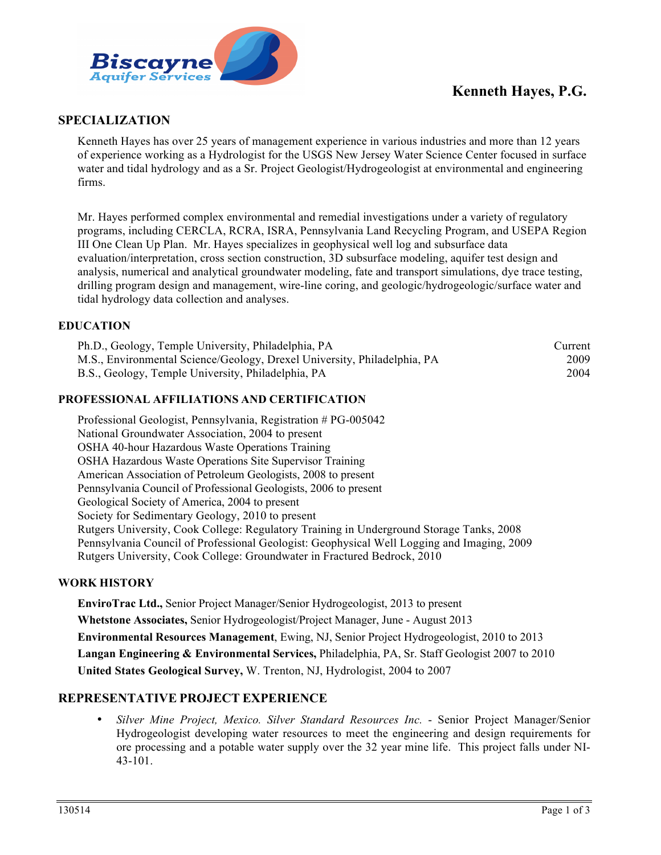

# **Kenneth Hayes, P.G.**

## **SPECIALIZATION**

Kenneth Hayes has over 25 years of management experience in various industries and more than 12 years of experience working as a Hydrologist for the USGS New Jersey Water Science Center focused in surface water and tidal hydrology and as a Sr. Project Geologist/Hydrogeologist at environmental and engineering firms.

Mr. Hayes performed complex environmental and remedial investigations under a variety of regulatory programs, including CERCLA, RCRA, ISRA, Pennsylvania Land Recycling Program, and USEPA Region III One Clean Up Plan. Mr. Hayes specializes in geophysical well log and subsurface data evaluation/interpretation, cross section construction, 3D subsurface modeling, aquifer test design and analysis, numerical and analytical groundwater modeling, fate and transport simulations, dye trace testing, drilling program design and management, wire-line coring, and geologic/hydrogeologic/surface water and tidal hydrology data collection and analyses.

### **EDUCATION**

| Ph.D., Geology, Temple University, Philadelphia, PA                      | Current |
|--------------------------------------------------------------------------|---------|
| M.S., Environmental Science/Geology, Drexel University, Philadelphia, PA | 2009    |
| B.S., Geology, Temple University, Philadelphia, PA                       | 2004    |

### **PROFESSIONAL AFFILIATIONS AND CERTIFICATION**

Professional Geologist, Pennsylvania, Registration # PG-005042 National Groundwater Association, 2004 to present OSHA 40-hour Hazardous Waste Operations Training OSHA Hazardous Waste Operations Site Supervisor Training American Association of Petroleum Geologists, 2008 to present Pennsylvania Council of Professional Geologists, 2006 to present Geological Society of America, 2004 to present Society for Sedimentary Geology, 2010 to present Rutgers University, Cook College: Regulatory Training in Underground Storage Tanks, 2008 Pennsylvania Council of Professional Geologist: Geophysical Well Logging and Imaging, 2009 Rutgers University, Cook College: Groundwater in Fractured Bedrock, 2010

### **WORK HISTORY**

**EnviroTrac Ltd.,** Senior Project Manager/Senior Hydrogeologist, 2013 to present **Whetstone Associates,** Senior Hydrogeologist/Project Manager, June - August 2013 **Environmental Resources Management**, Ewing, NJ, Senior Project Hydrogeologist, 2010 to 2013 **Langan Engineering & Environmental Services,** Philadelphia, PA, Sr. Staff Geologist 2007 to 2010 **United States Geological Survey,** W. Trenton, NJ, Hydrologist, 2004 to 2007

### **REPRESENTATIVE PROJECT EXPERIENCE**

• *Silver Mine Project, Mexico. Silver Standard Resources Inc.* - Senior Project Manager/Senior Hydrogeologist developing water resources to meet the engineering and design requirements for ore processing and a potable water supply over the 32 year mine life. This project falls under NI- $43 - 101$ .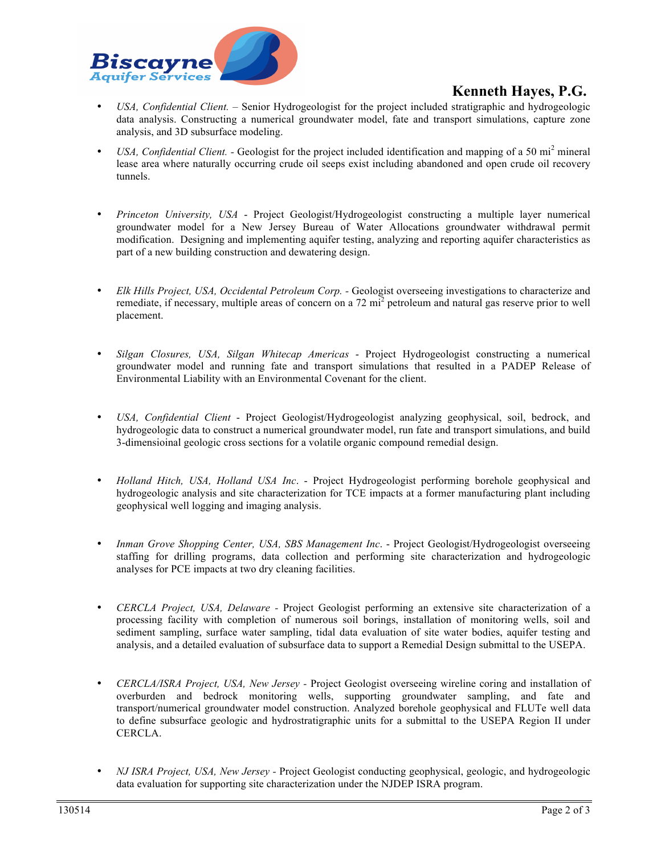

# **Kenneth Hayes, P.G.**

- *USA, Confidential Client. –* Senior Hydrogeologist for the project included stratigraphic and hydrogeologic data analysis. Constructing a numerical groundwater model, fate and transport simulations, capture zone analysis, and 3D subsurface modeling.
- *USA, Confidential Client.* Geologist for the project included identification and mapping of a 50 mi<sup>2</sup> mineral lease area where naturally occurring crude oil seeps exist including abandoned and open crude oil recovery tunnels.
- *Princeton University, USA* Project Geologist/Hydrogeologist constructing a multiple layer numerical groundwater model for a New Jersey Bureau of Water Allocations groundwater withdrawal permit modification. Designing and implementing aquifer testing, analyzing and reporting aquifer characteristics as part of a new building construction and dewatering design.
- *Elk Hills Project, USA, Occidental Petroleum Corp. -* Geologist overseeing investigations to characterize and remediate, if necessary, multiple areas of concern on a 72 mi<sup>2</sup> petroleum and natural gas reserve prior to well placement.
- *Silgan Closures, USA, Silgan Whitecap Americas* Project Hydrogeologist constructing a numerical groundwater model and running fate and transport simulations that resulted in a PADEP Release of Environmental Liability with an Environmental Covenant for the client.
- *USA, Confidential Client* Project Geologist/Hydrogeologist analyzing geophysical, soil, bedrock, and hydrogeologic data to construct a numerical groundwater model, run fate and transport simulations, and build 3-dimensioinal geologic cross sections for a volatile organic compound remedial design.
- *Holland Hitch, USA, Holland USA Inc*. Project Hydrogeologist performing borehole geophysical and hydrogeologic analysis and site characterization for TCE impacts at a former manufacturing plant including geophysical well logging and imaging analysis.
- *Inman Grove Shopping Center, USA, SBS Management Inc*. Project Geologist/Hydrogeologist overseeing staffing for drilling programs, data collection and performing site characterization and hydrogeologic analyses for PCE impacts at two dry cleaning facilities.
- *CERCLA Project, USA, Delaware -* Project Geologist performing an extensive site characterization of a processing facility with completion of numerous soil borings, installation of monitoring wells, soil and sediment sampling, surface water sampling, tidal data evaluation of site water bodies, aquifer testing and analysis, and a detailed evaluation of subsurface data to support a Remedial Design submittal to the USEPA.
- *CERCLA/ISRA Project, USA, New Jersey -* Project Geologist overseeing wireline coring and installation of overburden and bedrock monitoring wells, supporting groundwater sampling, and fate and transport/numerical groundwater model construction. Analyzed borehole geophysical and FLUTe well data to define subsurface geologic and hydrostratigraphic units for a submittal to the USEPA Region II under CERCLA.
- *NJ ISRA Project, USA, New Jersey -* Project Geologist conducting geophysical, geologic, and hydrogeologic data evaluation for supporting site characterization under the NJDEP ISRA program.